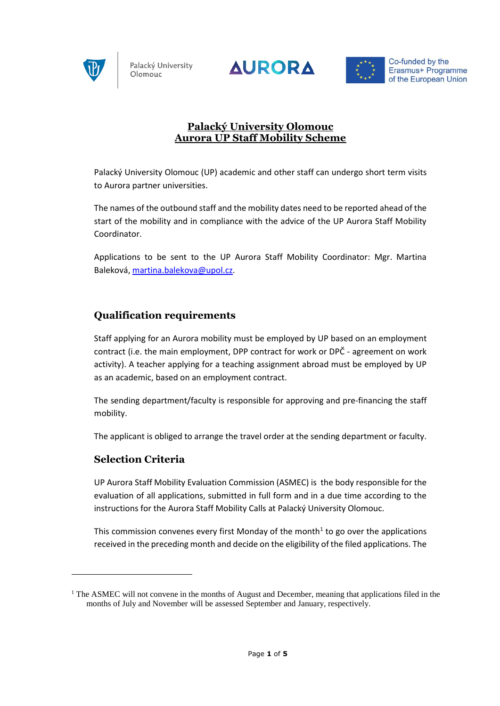





Co-funded by the Erasmus+ Programme of the European Union

### **Palacký University Olomouc Aurora UP Staff Mobility Scheme**

Palacký University Olomouc (UP) academic and other staff can undergo short term visits to Aurora partner universities.

The names of the outbound staff and the mobility dates need to be reported ahead of the start of the mobility and in compliance with the advice of the UP Aurora Staff Mobility Coordinator.

Applications to be sent to the UP Aurora Staff Mobility Coordinator: Mgr. Martina Baleková, [martina.balekova@upol.cz.](mailto:martina.balekova@upol.cz)

# **Qualification requirements**

Staff applying for an Aurora mobility must be employed by UP based on an employment contract (i.e. the main employment, DPP contract for work or DPČ - agreement on work activity). A teacher applying for a teaching assignment abroad must be employed by UP as an academic, based on an employment contract.

The sending department/faculty is responsible for approving and pre-financing the staff mobility.

The applicant is obliged to arrange the travel order at the sending department or faculty.

#### **Selection Criteria**

1

UP Aurora Staff Mobility Evaluation Commission (ASMEC) is the body responsible for the evaluation of all applications, submitted in full form and in a due time according to the instructions for the Aurora Staff Mobility Calls at Palacký University Olomouc.

This commission convenes every first Monday of the month<sup>1</sup> to go over the applications received in the preceding month and decide on the eligibility of the filed applications. The

<sup>&</sup>lt;sup>1</sup> The ASMEC will not convene in the months of August and December, meaning that applications filed in the months of July and November will be assessed September and January, respectively.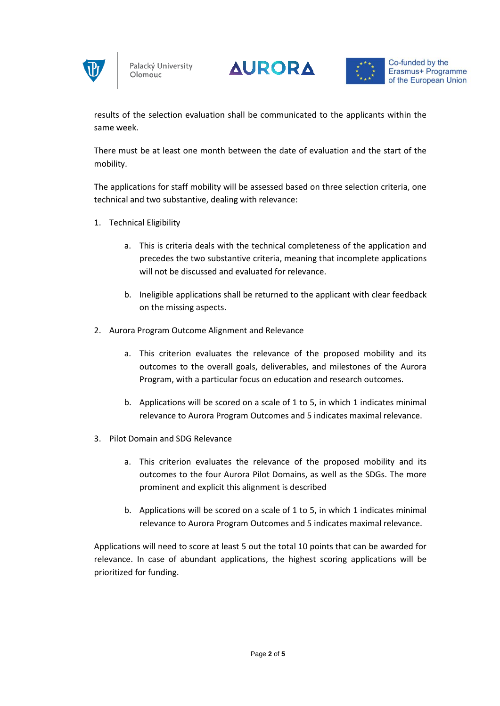





Co-funded by the Erasmus+ Programme of the European Union

results of the selection evaluation shall be communicated to the applicants within the same week.

There must be at least one month between the date of evaluation and the start of the mobility.

The applications for staff mobility will be assessed based on three selection criteria, one technical and two substantive, dealing with relevance:

- 1. Technical Eligibility
	- a. This is criteria deals with the technical completeness of the application and precedes the two substantive criteria, meaning that incomplete applications will not be discussed and evaluated for relevance.
	- b. Ineligible applications shall be returned to the applicant with clear feedback on the missing aspects.
- 2. Aurora Program Outcome Alignment and Relevance
	- a. This criterion evaluates the relevance of the proposed mobility and its outcomes to the overall goals, deliverables, and milestones of the Aurora Program, with a particular focus on education and research outcomes.
	- b. Applications will be scored on a scale of 1 to 5, in which 1 indicates minimal relevance to Aurora Program Outcomes and 5 indicates maximal relevance.
- 3. Pilot Domain and SDG Relevance
	- a. This criterion evaluates the relevance of the proposed mobility and its outcomes to the four Aurora Pilot Domains, as well as the SDGs. The more prominent and explicit this alignment is described
	- b. Applications will be scored on a scale of 1 to 5, in which 1 indicates minimal relevance to Aurora Program Outcomes and 5 indicates maximal relevance.

Applications will need to score at least 5 out the total 10 points that can be awarded for relevance. In case of abundant applications, the highest scoring applications will be prioritized for funding.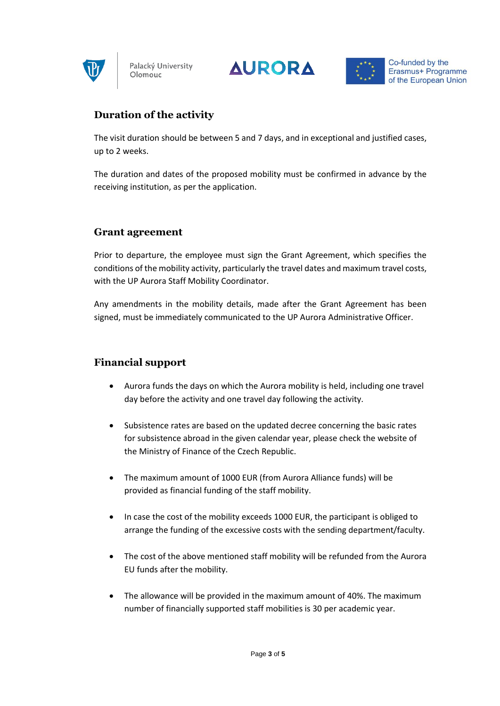





# **Duration of the activity**

The visit duration should be between 5 and 7 days, and in exceptional and justified cases, up to 2 weeks.

The duration and dates of the proposed mobility must be confirmed in advance by the receiving institution, as per the application.

#### **Grant agreement**

Prior to departure, the employee must sign the Grant Agreement, which specifies the conditions of the mobility activity, particularly the travel dates and maximum travel costs, with the UP Aurora Staff Mobility Coordinator.

Any amendments in the mobility details, made after the Grant Agreement has been signed, must be immediately communicated to the UP Aurora Administrative Officer.

# **Financial support**

- Aurora funds the days on which the Aurora mobility is held, including one travel day before the activity and one travel day following the activity.
- Subsistence rates are based on the updated decree concerning the basic rates for subsistence abroad in the given calendar year, please check the website of the Ministry of Finance of the Czech Republic.
- The maximum amount of 1000 EUR (from Aurora Alliance funds) will be provided as financial funding of the staff mobility.
- In case the cost of the mobility exceeds 1000 EUR, the participant is obliged to arrange the funding of the excessive costs with the sending department/faculty.
- The cost of the above mentioned staff mobility will be refunded from the Aurora EU funds after the mobility.
- The allowance will be provided in the maximum amount of 40%. The maximum number of financially supported staff mobilities is 30 per academic year.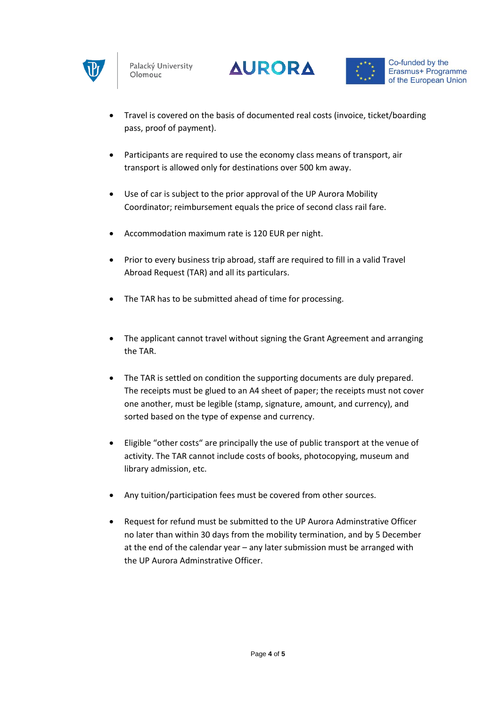





- Travel is covered on the basis of documented real costs (invoice, ticket/boarding pass, proof of payment).
- Participants are required to use the economy class means of transport, air transport is allowed only for destinations over 500 km away.
- Use of car is subject to the prior approval of the UP Aurora Mobility Coordinator; reimbursement equals the price of second class rail fare.
- Accommodation maximum rate is 120 EUR per night.
- Prior to every business trip abroad, staff are required to fill in a valid Travel Abroad Request (TAR) and all its particulars.
- The TAR has to be submitted ahead of time for processing.
- The applicant cannot travel without signing the Grant Agreement and arranging the TAR.
- The TAR is settled on condition the supporting documents are duly prepared. The receipts must be glued to an A4 sheet of paper; the receipts must not cover one another, must be legible (stamp, signature, amount, and currency), and sorted based on the type of expense and currency.
- Eligible "other costs" are principally the use of public transport at the venue of activity. The TAR cannot include costs of books, photocopying, museum and library admission, etc.
- Any tuition/participation fees must be covered from other sources.
- Request for refund must be submitted to the UP Aurora Adminstrative Officer no later than within 30 days from the mobility termination, and by 5 December at the end of the calendar year – any later submission must be arranged with the UP Aurora Adminstrative Officer.